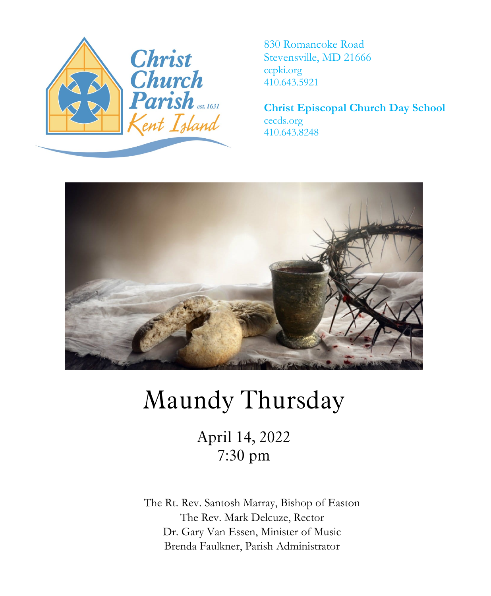

830 Romancoke Road Stevensville, MD 21666 ccpki.org 410.643.5921

**Christ Episcopal Church Day School** cecds.org 410.643.8248



# Maundy Thursday

April 14, 2022 7:30 pm

The Rt. Rev. Santosh Marray, Bishop of Easton The Rev. Mark Delcuze, Rector Dr. Gary Van Essen, Minister of Music Brenda Faulkner, Parish Administrator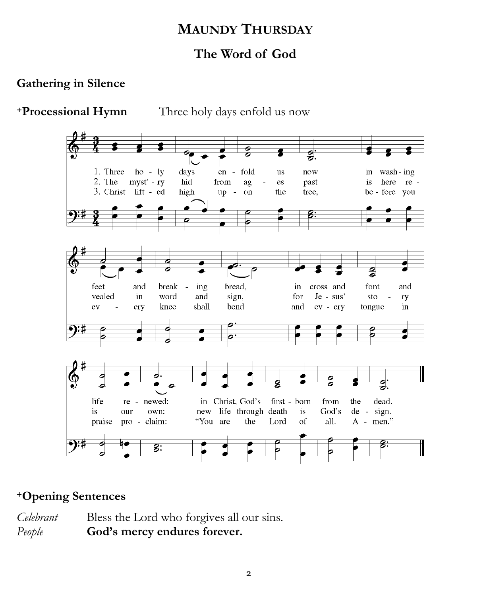## **MAUNDY THURSDAY**

### **The Word of God**

#### **Gathering in Silence**

**<sup>+</sup>Processional Hymn** Three holy days enfold us now



#### **<sup>+</sup>Opening Sentences**

*Celebrant* Bless the Lord who forgives all our sins. *People* **God's mercy endures forever.**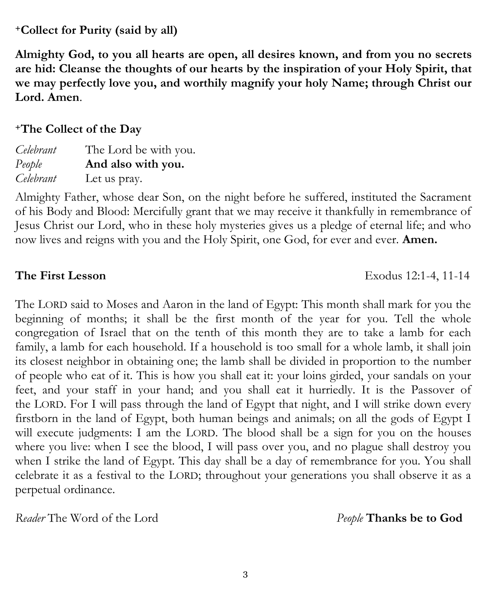3

*Reader* The Word of the Lord *People* **Thanks be to God**

The LORD said to Moses and Aaron in the land of Egypt: This month shall mark for you the beginning of months; it shall be the first month of the year for you. Tell the whole congregation of Israel that on the tenth of this month they are to take a lamb for each family, a lamb for each household. If a household is too small for a whole lamb, it shall join its closest neighbor in obtaining one; the lamb shall be divided in proportion to the number of people who eat of it. This is how you shall eat it: your loins girded, your sandals on your feet, and your staff in your hand; and you shall eat it hurriedly. It is the Passover of the LORD. For I will pass through the land of Egypt that night, and I will strike down every firstborn in the land of Egypt, both human beings and animals; on all the gods of Egypt I will execute judgments: I am the LORD. The blood shall be a sign for you on the houses where you live: when I see the blood, I will pass over you, and no plague shall destroy you when I strike the land of Egypt. This day shall be a day of remembrance for you. You shall celebrate it as a festival to the LORD; throughout your generations you shall observe it as a perpetual ordinance.

Almighty Father, whose dear Son, on the night before he suffered, instituted the Sacrament of his Body and Blood: Mercifully grant that we may receive it thankfully in remembrance of Jesus Christ our Lord, who in these holy mysteries gives us a pledge of eternal life; and who now lives and reigns with you and the Holy Spirit, one God, for ever and ever. **Amen.**

**<sup>+</sup>The Collect of the Day**

| The Concer of the Day |                       |  |  |  |
|-----------------------|-----------------------|--|--|--|
| Celebrant             | The Lord be with you. |  |  |  |
| People                | And also with you.    |  |  |  |
| Celebrant             | Let us pray.          |  |  |  |

**<sup>+</sup>Collect for Purity (said by all)**

**Almighty God, to you all hearts are open, all desires known, and from you no secrets are hid: Cleanse the thoughts of our hearts by the inspiration of your Holy Spirit, that we may perfectly love you, and worthily magnify your holy Name; through Christ our Lord. Amen**.

**The First Lesson** Exodus 12:1-4, 11-14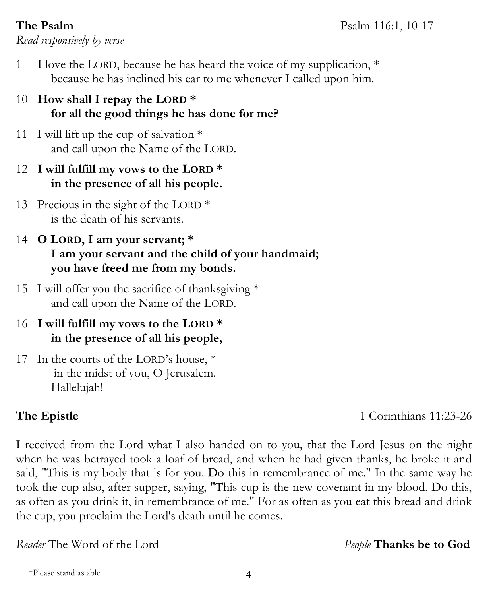*Read responsively by verse*

1 I love the LORD, because he has heard the voice of my supplication, \* because he has inclined his ear to me whenever I called upon him.

#### 10 **How shall I repay the LORD \* for all the good things he has done for me?**

11 I will lift up the cup of salvation \* and call upon the Name of the LORD.

#### 12 **I will fulfill my vows to the LORD \* in the presence of all his people.**

- 13 Precious in the sight of the LORD \* is the death of his servants.
- 14 **O LORD, I am your servant; \* I am your servant and the child of your handmaid; you have freed me from my bonds.**
- 15 I will offer you the sacrifice of thanksgiving  $*$ and call upon the Name of the LORD.

### 16 **I will fulfill my vows to the LORD \* in the presence of all his people,**

17 In the courts of the LORD's house, \* in the midst of you, O Jerusalem. Hallelujah!

**The Epistle** 1 Corinthians 11:23-26

I received from the Lord what I also handed on to you, that the Lord Jesus on the night when he was betrayed took a loaf of bread, and when he had given thanks, he broke it and said, "This is my body that is for you. Do this in remembrance of me." In the same way he took the cup also, after supper, saying, "This cup is the new covenant in my blood. Do this, as often as you drink it, in remembrance of me." For as often as you eat this bread and drink the cup, you proclaim the Lord's death until he comes.

*Reader* The Word of the Lord *People* **Thanks be to God**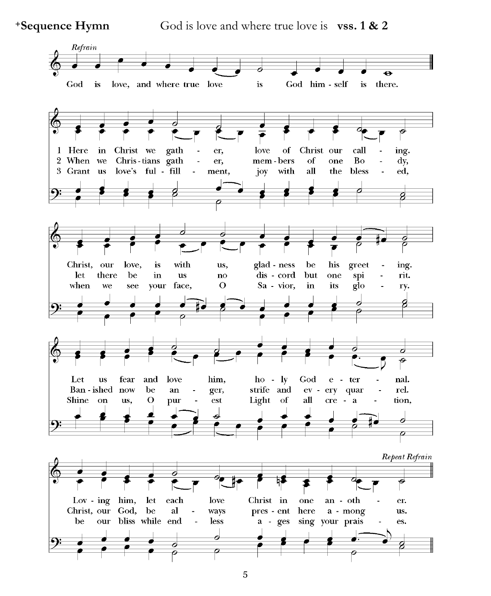**+Sequence Hymn** God is love and where true love is **vss. 1 & 2** 

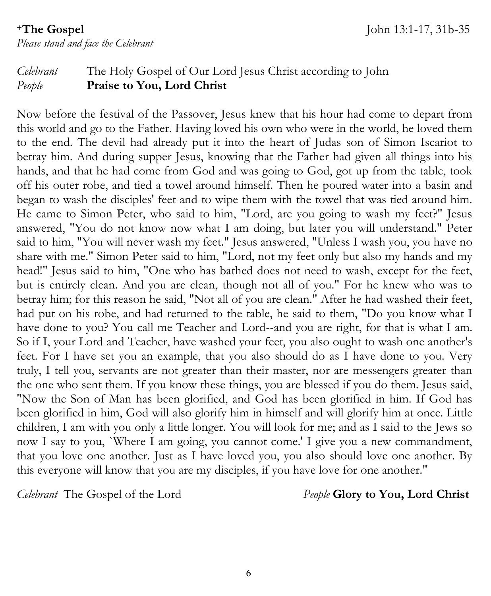*Please stand and face the Celebrant*

#### *Celebrant* The Holy Gospel of Our Lord Jesus Christ according to John *People* **Praise to You, Lord Christ**

Now before the festival of the Passover, Jesus knew that his hour had come to depart from this world and go to the Father. Having loved his own who were in the world, he loved them to the end. The devil had already put it into the heart of Judas son of Simon Iscariot to betray him. And during supper Jesus, knowing that the Father had given all things into his hands, and that he had come from God and was going to God, got up from the table, took off his outer robe, and tied a towel around himself. Then he poured water into a basin and began to wash the disciples' feet and to wipe them with the towel that was tied around him. He came to Simon Peter, who said to him, "Lord, are you going to wash my feet?" Jesus answered, "You do not know now what I am doing, but later you will understand." Peter said to him, "You will never wash my feet." Jesus answered, "Unless I wash you, you have no share with me." Simon Peter said to him, "Lord, not my feet only but also my hands and my head!" Jesus said to him, "One who has bathed does not need to wash, except for the feet, but is entirely clean. And you are clean, though not all of you." For he knew who was to betray him; for this reason he said, "Not all of you are clean." After he had washed their feet, had put on his robe, and had returned to the table, he said to them, "Do you know what I have done to you? You call me Teacher and Lord--and you are right, for that is what I am. So if I, your Lord and Teacher, have washed your feet, you also ought to wash one another's feet. For I have set you an example, that you also should do as I have done to you. Very truly, I tell you, servants are not greater than their master, nor are messengers greater than the one who sent them. If you know these things, you are blessed if you do them. Jesus said, "Now the Son of Man has been glorified, and God has been glorified in him. If God has been glorified in him, God will also glorify him in himself and will glorify him at once. Little children, I am with you only a little longer. You will look for me; and as I said to the Jews so now I say to you, `Where I am going, you cannot come.' I give you a new commandment, that you love one another. Just as I have loved you, you also should love one another. By this everyone will know that you are my disciples, if you have love for one another."

*Celebrant* The Gospel of the Lord *People* **Glory to You, Lord Christ**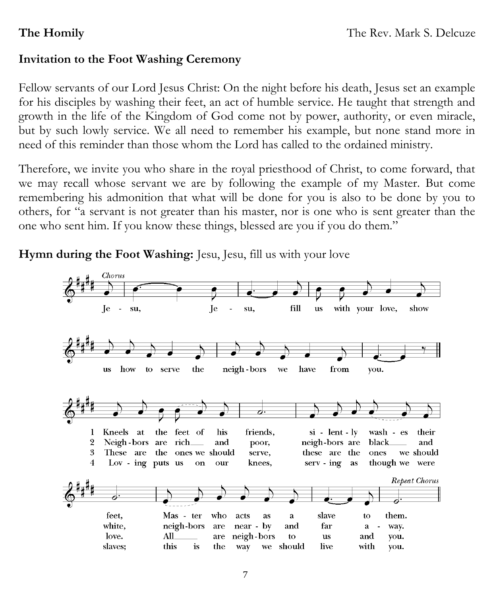#### **Invitation to the Foot Washing Ceremony**

Fellow servants of our Lord Jesus Christ: On the night before his death, Jesus set an example for his disciples by washing their feet, an act of humble service. He taught that strength and growth in the life of the Kingdom of God come not by power, authority, or even miracle, but by such lowly service. We all need to remember his example, but none stand more in need of this reminder than those whom the Lord has called to the ordained ministry.

Therefore, we invite you who share in the royal priesthood of Christ, to come forward, that we may recall whose servant we are by following the example of my Master. But come remembering his admonition that what will be done for you is also to be done by you to others, for "a servant is not greater than his master, nor is one who is sent greater than the one who sent him. If you know these things, blessed are you if you do them."

**Hymn during the Foot Washing:** Jesu, Jesu, fill us with your love

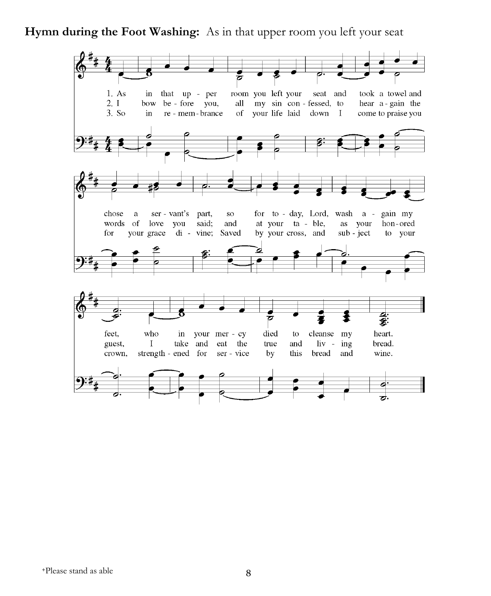**Hymn during the Foot Washing:** As in that upper room you left your seat

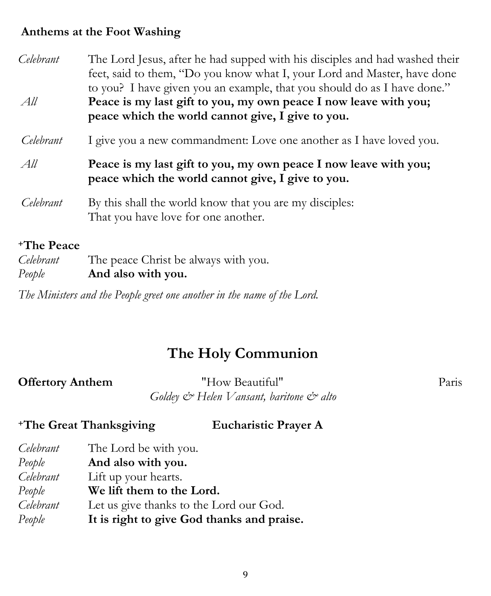#### **Anthems at the Foot Washing**

| Celebrant<br>All | The Lord Jesus, after he had supped with his disciples and had washed their<br>feet, said to them, "Do you know what I, your Lord and Master, have done<br>to you? I have given you an example, that you should do as I have done."<br>Peace is my last gift to you, my own peace I now leave with you; |
|------------------|---------------------------------------------------------------------------------------------------------------------------------------------------------------------------------------------------------------------------------------------------------------------------------------------------------|
|                  | peace which the world cannot give, I give to you.                                                                                                                                                                                                                                                       |
| Celebrant        | I give you a new commandment: Love one another as I have loved you.                                                                                                                                                                                                                                     |
| All              | Peace is my last gift to you, my own peace I now leave with you;<br>peace which the world cannot give, I give to you.                                                                                                                                                                                   |
| Celebrant        | By this shall the world know that you are my disciples:<br>That you have love for one another.                                                                                                                                                                                                          |

#### **<sup>+</sup>The Peace**

| Celebrant | The peace Christ be always with you. |
|-----------|--------------------------------------|
| People    | And also with you.                   |

*The Ministers and the People greet one another in the name of the Lord.* 

# **The Holy Communion**

**Offertory Anthem** "How Beautiful" Paris *Goldey & Helen Vansant, baritone & alto*

#### **<sup>+</sup>The Great Thanksgiving Eucharistic Prayer A**

| Celebrant | The Lord be with you.                      |
|-----------|--------------------------------------------|
| People    | And also with you.                         |
| Celebrant | Lift up your hearts.                       |
| People    | We lift them to the Lord.                  |
| Celebrant | Let us give thanks to the Lord our God.    |
| People    | It is right to give God thanks and praise. |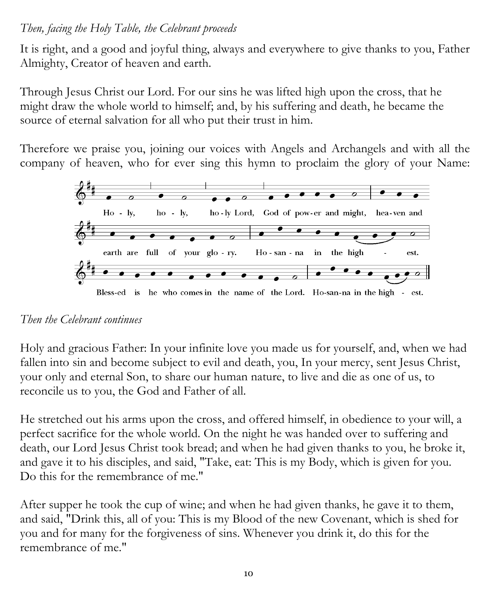#### *Then, facing the Holy Table, the Celebrant proceeds*

It is right, and a good and joyful thing, always and everywhere to give thanks to you, Father Almighty, Creator of heaven and earth.

Through Jesus Christ our Lord. For our sins he was lifted high upon the cross, that he might draw the whole world to himself; and, by his suffering and death, he became the source of eternal salvation for all who put their trust in him.

Therefore we praise you, joining our voices with Angels and Archangels and with all the company of heaven, who for ever sing this hymn to proclaim the glory of your Name:



#### *Then the Celebrant continues*

Holy and gracious Father: In your infinite love you made us for yourself, and, when we had fallen into sin and become subject to evil and death, you, In your mercy, sent Jesus Christ, your only and eternal Son, to share our human nature, to live and die as one of us, to reconcile us to you, the God and Father of all.

He stretched out his arms upon the cross, and offered himself, in obedience to your will, a perfect sacrifice for the whole world. On the night he was handed over to suffering and death, our Lord Jesus Christ took bread; and when he had given thanks to you, he broke it, and gave it to his disciples, and said, "Take, eat: This is my Body, which is given for you. Do this for the remembrance of me."

After supper he took the cup of wine; and when he had given thanks, he gave it to them, and said, "Drink this, all of you: This is my Blood of the new Covenant, which is shed for you and for many for the forgiveness of sins. Whenever you drink it, do this for the remembrance of me."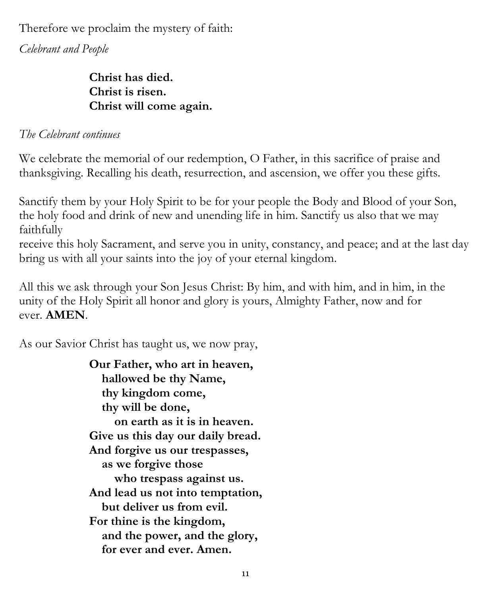Therefore we proclaim the mystery of faith:

*Celebrant and People*

**Christ has died. Christ is risen. Christ will come again.** 

#### *The Celebrant continues*

We celebrate the memorial of our redemption, O Father, in this sacrifice of praise and thanksgiving. Recalling his death, resurrection, and ascension, we offer you these gifts.

Sanctify them by your Holy Spirit to be for your people the Body and Blood of your Son, the holy food and drink of new and unending life in him. Sanctify us also that we may faithfully

receive this holy Sacrament, and serve you in unity, constancy, and peace; and at the last day bring us with all your saints into the joy of your eternal kingdom.

All this we ask through your Son Jesus Christ: By him, and with him, and in him, in the unity of the Holy Spirit all honor and glory is yours, Almighty Father, now and for ever. **AMEN**.

As our Savior Christ has taught us, we now pray,

**Our Father, who art in heaven, hallowed be thy Name, thy kingdom come, thy will be done, on earth as it is in heaven. Give us this day our daily bread. And forgive us our trespasses, as we forgive those who trespass against us. And lead us not into temptation, but deliver us from evil. For thine is the kingdom, and the power, and the glory, for ever and ever. Amen.**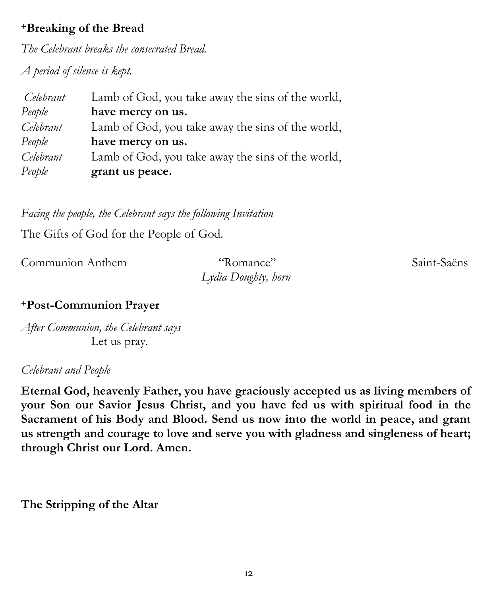#### **<sup>+</sup>Breaking of the Bread**

*The Celebrant breaks the consecrated Bread.* 

*A period of silence is kept.*

| Celebrant | Lamb of God, you take away the sins of the world, |
|-----------|---------------------------------------------------|
| People    | have mercy on us.                                 |
| Celebrant | Lamb of God, you take away the sins of the world, |
| People    | have mercy on us.                                 |
| Celebrant | Lamb of God, you take away the sins of the world, |
| People    | grant us peace.                                   |

*Facing the people, the Celebrant says the following Invitation*

The Gifts of God for the People of God.

| Communion Anthem | "Romance"           | Saint-Saëns |
|------------------|---------------------|-------------|
|                  | Lydia Doughty, horn |             |

#### **<sup>+</sup>Post-Communion Prayer**

*After Communion, the Celebrant says* Let us pray.

#### *Celebrant and People*

**Eternal God, heavenly Father, you have graciously accepted us as living members of your Son our Savior Jesus Christ, and you have fed us with spiritual food in the Sacrament of his Body and Blood. Send us now into the world in peace, and grant us strength and courage to love and serve you with gladness and singleness of heart; through Christ our Lord. Amen.**

**The Stripping of the Altar**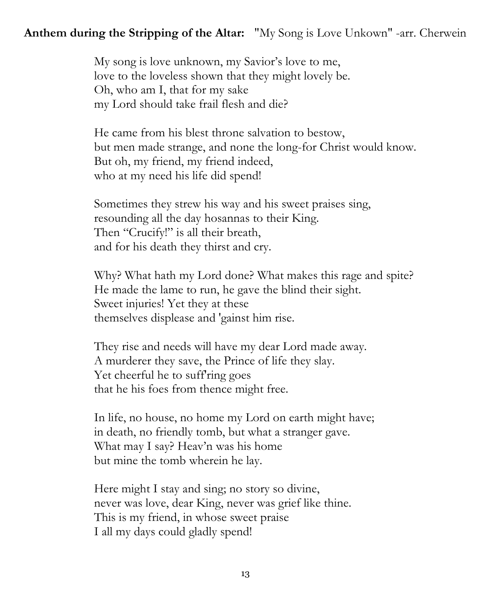#### **Anthem during the Stripping of the Altar:** "My Song is Love Unkown" -arr. Cherwein

My song is love unknown, my Savior's love to me, love to the loveless shown that they might lovely be. Oh, who am I, that for my sake my Lord should take frail flesh and die?

He came from his blest throne salvation to bestow, but men made strange, and none the long-for Christ would know. But oh, my friend, my friend indeed, who at my need his life did spend!

Sometimes they strew his way and his sweet praises sing, resounding all the day hosannas to their King. Then "Crucify!" is all their breath, and for his death they thirst and cry.

Why? What hath my Lord done? What makes this rage and spite? He made the lame to run, he gave the blind their sight. Sweet injuries! Yet they at these themselves displease and 'gainst him rise.

They rise and needs will have my dear Lord made away. A murderer they save, the Prince of life they slay. Yet cheerful he to suff ring goes that he his foes from thence might free.

In life, no house, no home my Lord on earth might have; in death, no friendly tomb, but what a stranger gave. What may I say? Heav'n was his home but mine the tomb wherein he lay.

Here might I stay and sing; no story so divine, never was love, dear King, never was grief like thine. This is my friend, in whose sweet praise I all my days could gladly spend!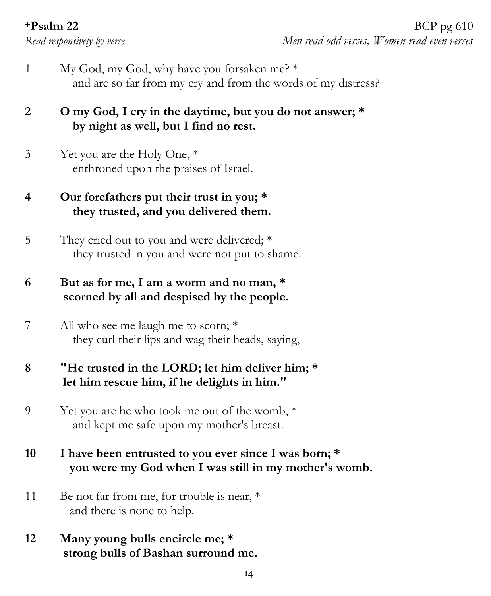1 My God, my God, why have you forsaken me? \* and are so far from my cry and from the words of my distress?

#### **2 O my God, I cry in the daytime, but you do not answer; \* by night as well, but I find no rest.**

3 Yet you are the Holy One, \* enthroned upon the praises of Israel.

#### **4 Our forefathers put their trust in you; \* they trusted, and you delivered them.**

5 They cried out to you and were delivered; \* they trusted in you and were not put to shame.

### **6 But as for me, I am a worm and no man, \* scorned by all and despised by the people.**

7 All who see me laugh me to scorn; \* they curl their lips and wag their heads, saying,

### **8 "He trusted in the LORD; let him deliver him; \* let him rescue him, if he delights in him."**

9 Yet you are he who took me out of the womb, \* and kept me safe upon my mother's breast.

#### **10 I have been entrusted to you ever since I was born; \* you were my God when I was still in my mother's womb.**

11 Be not far from me, for trouble is near,  $*$ and there is none to help.

#### **12 Many young bulls encircle me; \* strong bulls of Bashan surround me.**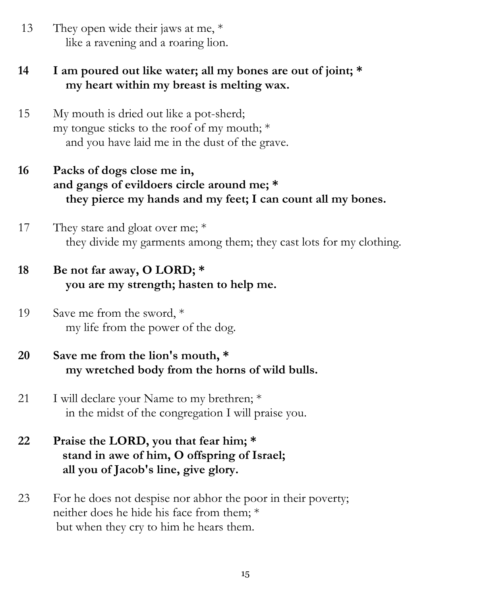13 They open wide their jaws at me, \* like a ravening and a roaring lion.

#### **14 I am poured out like water; all my bones are out of joint; \* my heart within my breast is melting wax.**

- 15 My mouth is dried out like a pot-sherd; my tongue sticks to the roof of my mouth; \* and you have laid me in the dust of the grave.
- **16 Packs of dogs close me in, and gangs of evildoers circle around me; \* they pierce my hands and my feet; I can count all my bones.**
- 17 They stare and gloat over me; \* they divide my garments among them; they cast lots for my clothing.
- **18 Be not far away, O LORD; \* you are my strength; hasten to help me.**
- 19 Save me from the sword, \* my life from the power of the dog.
- **20 Save me from the lion's mouth, \* my wretched body from the horns of wild bulls.**
- 21 I will declare your Name to my brethren; \* in the midst of the congregation I will praise you.

#### **22 Praise the LORD, you that fear him; \* stand in awe of him, O offspring of Israel; all you of Jacob's line, give glory.**

23 For he does not despise nor abhor the poor in their poverty; neither does he hide his face from them; \* but when they cry to him he hears them.